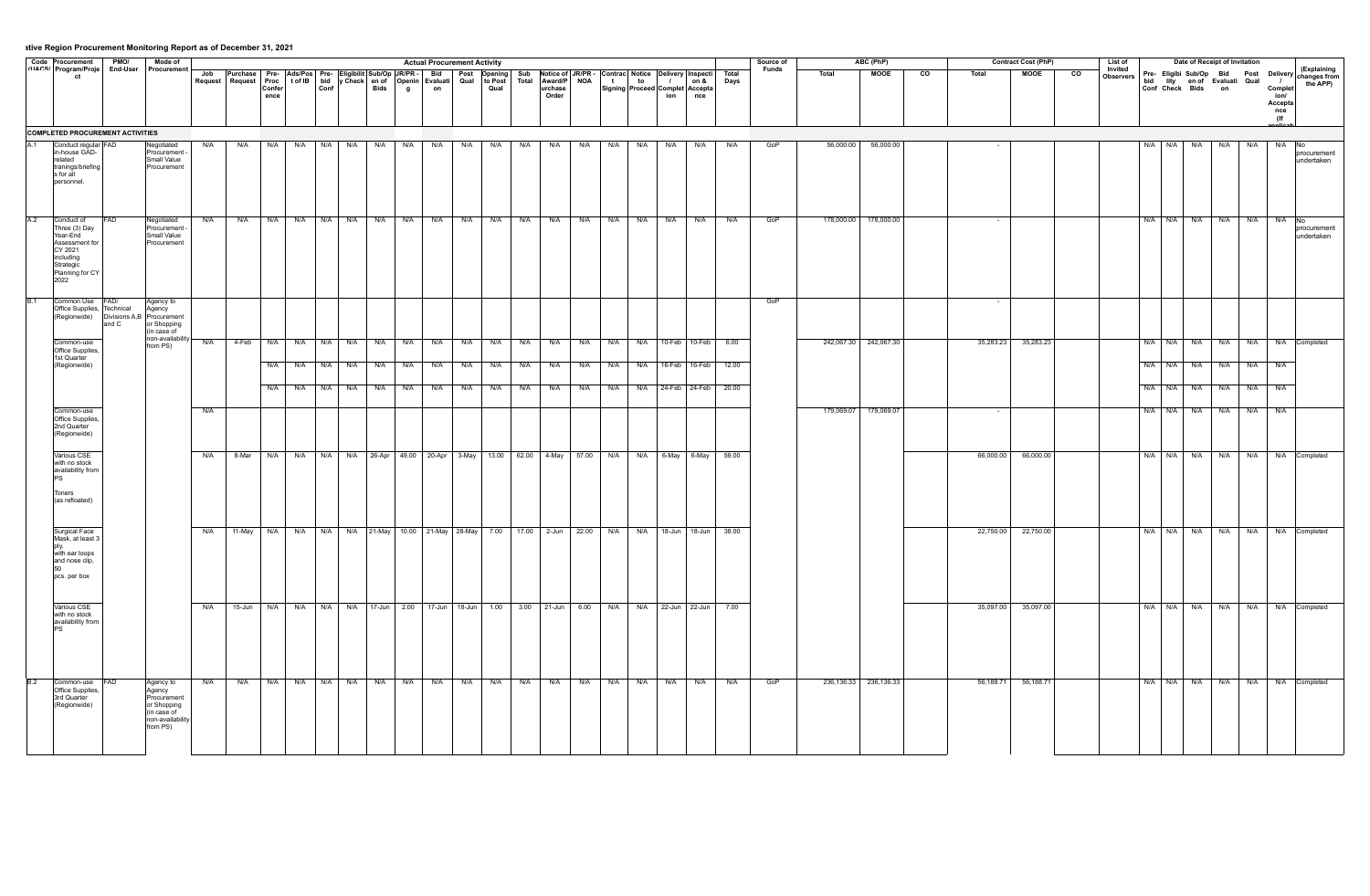|             | Code Procurement   PMO/                                                                                                   |          | Mode of                                                                                          |     |                                                                                                                                                       |                |     |             |             |                     |              | <b>Actual Procurement Activity</b>                                |              |                 |                     |                                 |                       |              |                                       |                       |                                                                   |               | Source of |            | ABC (PhP)                 |                |           | <b>Contract Cost (PhP)</b> |                        | List of              |                        | Date of Receipt of Invitation                            |         |            |                                                    |                                         |
|-------------|---------------------------------------------------------------------------------------------------------------------------|----------|--------------------------------------------------------------------------------------------------|-----|-------------------------------------------------------------------------------------------------------------------------------------------------------|----------------|-----|-------------|-------------|---------------------|--------------|-------------------------------------------------------------------|--------------|-----------------|---------------------|---------------------------------|-----------------------|--------------|---------------------------------------|-----------------------|-------------------------------------------------------------------|---------------|-----------|------------|---------------------------|----------------|-----------|----------------------------|------------------------|----------------------|------------------------|----------------------------------------------------------|---------|------------|----------------------------------------------------|-----------------------------------------|
|             | ""^" Program/Proje<br>ct                                                                                                  | End-User | Procurement                                                                                      |     | Job Purchase Pre- Ads/Pos Pre- Eligibilit Sub/Op JR/PR - Bid<br>Request   Request   Proc   t of IB   bid   y Check   en of   Openin   Evaluati   Qual | Confer<br>ence |     | Conf        |             | Bids                | $\mathbf{g}$ | on                                                                | Post Opening | to Post<br>Qual | Sub<br><b>Total</b> | Award/P NOA<br>urchase<br>Order |                       | $\mathbf{t}$ | to<br>Signing Proceed Complet Accepta | $\overline{1}$<br>ion | Notice of JR/PR - Contrac Notice Delivery Inspecti<br>on &<br>nce | Total<br>Days | Funds     | Total      | <b>MOOE</b>               | $\overline{c}$ | Total     | <b>MOOE</b>                | $\overline{\text{co}}$ | Invited<br>Observers | bid<br>Conf Check Bids | Pre- Eligibi Sub/Op Bid Post<br>lity en of Evaluati Qual | on      |            | Delivery<br>Complet<br>ion/<br>Accepta<br>nce<br>( | (Explaining<br>changes from<br>the APP) |
|             | <b>COMPLETED PROCUREMENT ACTIVITIES</b>                                                                                   |          |                                                                                                  |     |                                                                                                                                                       |                |     |             |             |                     |              |                                                                   |              |                 |                     |                                 |                       |              |                                       |                       |                                                                   |               |           |            |                           |                |           |                            |                        |                      |                        |                                                          |         |            |                                                    |                                         |
| A.1         | Conduct regular FAD<br>in-house GAD-<br>related<br>tranings/briefing<br>s for all<br>personnel.                           |          | Negotiated<br>Procurement -<br>Small Value<br>Procurement                                        | N/A | N/A                                                                                                                                                   | N/A            | N/A | $N/A$ $N/A$ |             | N/A                 | N/A          | N/A                                                               | N/A          | N/A             | N/A                 | N/A                             | N/A                   | N/A          | N/A                                   | N/A                   | N/A                                                               | N/A           | GoP       | 56,000.00  | 56,000.00                 |                |           |                            |                        |                      | N/A N/A N/A            |                                                          | N/A     | <b>N/A</b> | N/A<br>No                                          | Iprocuremen<br>undertaken               |
| A.2         | Conduct of<br>Three (3) Day<br>Year-Fnd<br>Assessment for<br>CY 2021<br>including<br>Strategic<br>Planning for CY<br>2022 | FAD.     | Negotiated<br>Procurement -<br>Small Value<br>Procurement                                        | N/A | N/A                                                                                                                                                   | N/A            | N/A | N/A N/A     |             | N/A                 | N/A          | N/A                                                               | N/A          | N/A             | N/A                 | N/A                             | N/A                   | N/A          | N/A                                   | N/A                   | N/A                                                               | N/A           | GoP       | 178,000.00 | 178,000.00                |                |           |                            |                        |                      | N/A N/A N/A            |                                                          | N/A     | N/A        | N/A<br>INo.                                        | procurement<br>undertaken               |
| <b>B</b> .1 | Common Use FAD/<br>Office Supplies, Technical<br>(Regionwide)                                                             | and C    | Agency to<br>Agency<br>Divisions A,B Procurement<br>or Shopping<br>l(in case of                  |     |                                                                                                                                                       |                |     |             |             |                     |              |                                                                   |              |                 |                     |                                 |                       |              |                                       |                       |                                                                   |               | GoP       |            |                           |                |           |                            |                        |                      |                        |                                                          |         |            |                                                    |                                         |
|             | Common-use<br>Office Supplies,                                                                                            |          | non-availability<br>from PS)                                                                     | N/A | 4-Feb                                                                                                                                                 | N/A            |     | N/A N/A N/A |             | N/A                 | N/A          | N/A                                                               | N/A          | N/A             | N/A                 | N/A                             | N/A                   | N/A          | N/A                                   |                       | 10-Feb 10-Feb                                                     | 6.00          |           |            | 242,067.30 242,067.30     |                | 35,283.23 | 35,283.23                  |                        |                      | N/A N/A N/A            |                                                          | N/A     | <b>N/A</b> | N/A                                                | Completed                               |
|             | 1st Quarter<br>(Regionwide)                                                                                               |          |                                                                                                  |     |                                                                                                                                                       | N/A            |     |             |             | N/A N/A N/A N/A N/A |              | N/A                                                               | N/A N/A      |                 | N/A                 | N/A N/A                         |                       | N/A          |                                       |                       | N/A 16-Feb 16-Feb 12.00                                           |               |           |            |                           |                |           |                            |                        |                      | N/A N/A N/A N/A N/A    |                                                          |         |            | N/A                                                |                                         |
|             |                                                                                                                           |          |                                                                                                  |     |                                                                                                                                                       | N/A            |     | N/A N/A N/A |             | N/A                 | N/A          | N/A                                                               | N/A N/A      |                 | N/A                 | N/A                             | N/A                   | N/A          |                                       |                       | N/A 24-Feb 24-Feb                                                 | 20.00         |           |            |                           |                |           |                            |                        |                      |                        | N/A N/A N/A N/A N/A                                      |         |            | N/A                                                |                                         |
|             | Common-use                                                                                                                |          |                                                                                                  | N/A |                                                                                                                                                       |                |     |             |             |                     |              |                                                                   |              |                 |                     |                                 |                       |              |                                       |                       |                                                                   |               |           |            | 179,069.07 179,069.07     |                | $\sim$    |                            |                        |                      | N/A N/A N/A            |                                                          | N/A N/A |            | N/A                                                |                                         |
|             | Office Supplies.<br>2nd Quarter<br>(Regionwide)                                                                           |          |                                                                                                  |     |                                                                                                                                                       |                |     |             |             |                     |              |                                                                   |              |                 |                     |                                 |                       |              |                                       |                       |                                                                   |               |           |            |                           |                |           |                            |                        |                      |                        |                                                          |         |            |                                                    |                                         |
|             | Various CSE<br>with no stock<br>availability from                                                                         |          |                                                                                                  | N/A | 8-Mar                                                                                                                                                 | N/A            |     |             |             |                     |              | N/A N/A N/A 26-Apr 49.00 20-Apr 3-May 13.00 62.00 4-May 57.00 N/A |              |                 |                     |                                 |                       |              |                                       | N/A 6-May 6-May       |                                                                   | 59.00         |           |            |                           |                | 66,000.00 | 66,000.00                  |                        |                      | N/A N/A N/A            |                                                          | N/A     | N/A        | N/A                                                | Completed                               |
|             | Toners<br>(as refloated)                                                                                                  |          |                                                                                                  |     |                                                                                                                                                       |                |     |             |             |                     |              |                                                                   |              |                 |                     |                                 |                       |              |                                       |                       |                                                                   |               |           |            |                           |                |           |                            |                        |                      |                        |                                                          |         |            |                                                    |                                         |
|             | Surgical Face<br>Mask, at least 3                                                                                         |          |                                                                                                  | N/A | 11-May                                                                                                                                                | N/A            |     |             |             |                     |              | N/A N/A N/A 21-May 10.00 21-May 28-May 7.00                       |              |                 |                     |                                 | 17.00 2-Jun 22.00 N/A |              | N/A                                   |                       | 18-Jun 18-Jun                                                     | 38.00         |           |            |                           |                | 22,750.00 | 22,750.00                  |                        |                      | N/A N/A N/A            |                                                          | N/A     | N/A        | N/A                                                | Completed                               |
|             | with ear loops<br>and nose clip,<br>pcs. per box                                                                          |          |                                                                                                  |     |                                                                                                                                                       |                |     |             |             |                     |              |                                                                   |              |                 |                     |                                 |                       |              |                                       |                       |                                                                   |               |           |            |                           |                |           |                            |                        |                      |                        |                                                          |         |            |                                                    |                                         |
|             | Various CSE<br>with no stock<br>availability from                                                                         |          |                                                                                                  | N/A |                                                                                                                                                       | 15-Jun N/A     |     |             |             |                     |              | N/A N/A N/A 17-Jun 2.00 17-Jun 18-Jun 1.00                        |              |                 |                     |                                 | 3.00 21-Jun 6.00 N/A  |              |                                       |                       | N/A 22-Jun 22-Jun                                                 | 7.00          |           |            |                           |                | 35,097.00 | 35,097.00                  |                        |                      |                        | N/A N/A N/A N/A N/A N/A                                  |         |            |                                                    | N/A Completed                           |
| <b>B.2</b>  | Common-use FAD<br>Office Supplies,<br>3rd Quarter<br>(Regionwide)                                                         |          | Agency to<br>Agency<br>Procurement<br>or Shopping<br>(in case of<br>non-availability<br>from PS) | N/A | N/A                                                                                                                                                   | N/A            |     |             | N/A N/A N/A | N/A                 | N/A          | N/A                                                               | N/A N/A      |                 | N/A                 | N/A                             | N/A                   | N/A          | N/A                                   | N/A                   | N/A                                                               | N/A           | GoP       |            | 236, 136. 33 236, 136. 33 |                | 56,188.71 | 56,188.71                  |                        |                      |                        | N/A N/A N/A N/A N/A N                                    |         |            |                                                    | N/A Completed                           |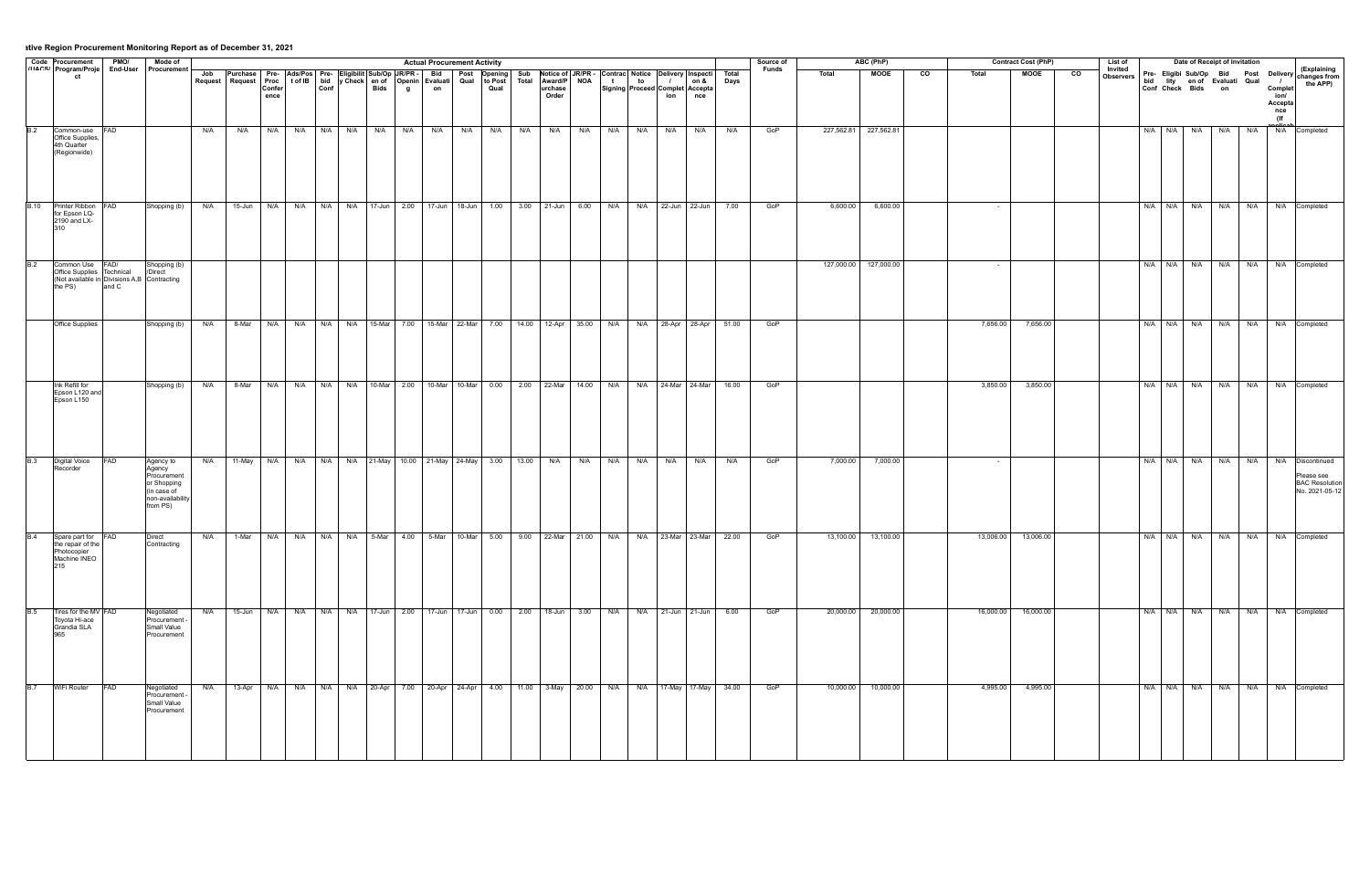|             | Code Procurement PMO/<br>" Intere' Program/Proje End-User |                                                      | Mode of                                                                                                                 |     |                                                                                                                                     |                |      |      |          | <b>Actual Procurement Activity</b> |         |                   |   |    |                |                                                                                                     |                                                                                                         | Source of |            | ABC (PhP)             |                        |           | <b>Contract Cost (PhP)</b> |                | List of                     | Date of Receipt of Invitation                   |     |     |                                          |                                                       |
|-------------|-----------------------------------------------------------|------------------------------------------------------|-------------------------------------------------------------------------------------------------------------------------|-----|-------------------------------------------------------------------------------------------------------------------------------------|----------------|------|------|----------|------------------------------------|---------|-------------------|---|----|----------------|-----------------------------------------------------------------------------------------------------|---------------------------------------------------------------------------------------------------------|-----------|------------|-----------------------|------------------------|-----------|----------------------------|----------------|-----------------------------|-------------------------------------------------|-----|-----|------------------------------------------|-------------------------------------------------------|
|             | ct                                                        |                                                      | End-User Procurement                                                                                                    |     | Job Purchase Pre- Ads/Pos Pre- Eligibilit Sub/Op JR/PR - Bid Post Opening                                                           |                |      |      |          |                                    | to Post | Total Award/P NOA | t | to | $\overline{1}$ | Sub Notice of JR/PR - Contrac Notice Delivery Inspecti Total<br>on &                                |                                                                                                         | Funds     | Total      | <b>MOOE</b>           | $\overline{\text{co}}$ | Total     | <b>MOOE</b>                | $\overline{c}$ | Invited<br><b>Observers</b> |                                                 |     |     |                                          | Pre- Eligibi Sub/Op Bid Post Delivery Changes from    |
|             |                                                           |                                                      |                                                                                                                         |     | Request   Request   Proc   t of IB   bid   y Check   en of   Openin   Evaluati   Qual                                               | Confer<br>ence | Conf | Bids | <b>g</b> | on                                 | Qual    | urchase<br>Order  |   |    | ion            | Signing   Proceed   Complet   Accepta<br>nce                                                        | Days                                                                                                    |           |            |                       |                        |           |                            |                |                             | bid lity en of Evaluati Qual<br>Conf Check Bids | on  |     | Complet<br>ion/<br>Accepta<br>nce<br>(If | the APP)                                              |
| B.2         | Common-use FAD                                            |                                                      |                                                                                                                         | N/A | N/A                                                                                                                                 |                |      |      |          |                                    |         |                   |   |    |                | N/A   N/A   N/A   N/A   N/A   N/A   N/A   N/A   N/A   N/A   N/A   N/A   N/A   N/A   N/A   N/A   N/A | N/A                                                                                                     | GoP       |            | 227,562.81 227,562.81 |                        |           |                            |                |                             | N/A N/A N/A N/A N/A N/A                         |     |     |                                          | N/A Completed                                         |
|             | Office Supplies,<br>4th Quarter<br>(Regionwide)           |                                                      |                                                                                                                         |     |                                                                                                                                     |                |      |      |          |                                    |         |                   |   |    |                |                                                                                                     |                                                                                                         |           |            |                       |                        |           |                            |                |                             |                                                 |     |     |                                          |                                                       |
| <b>B.10</b> | Printer Ribbon<br>for Epson LQ-<br>2190 and LX-           | <b>FAD</b>                                           | Shopping (b)                                                                                                            | N/A | 15-Jun   N/A   N/A   N/A   N/A   17-Jun   2.00   17-Jun   18-Jun   1.00   3.00   21-Jun   6.00   N/A   N/A   22-Jun   22-Jun        |                |      |      |          |                                    |         |                   |   |    |                |                                                                                                     | 7.00                                                                                                    | GoP       | 6,600.00   | 6,600.00              |                        |           |                            |                |                             |                                                 |     |     |                                          | N/A   N/A   N/A   N/A   N/A   N/A   Completed         |
| B.2         | Common Use FAD/                                           |                                                      | Shopping (b)                                                                                                            |     |                                                                                                                                     |                |      |      |          |                                    |         |                   |   |    |                |                                                                                                     |                                                                                                         |           | 127,000.00 | 127,000.00            |                        |           |                            |                |                             | N/A   N/A   N/A   N/A   N/A   N/A   Completed   |     |     |                                          |                                                       |
|             | Office Supplies Technical<br>the PS)                      | (Not available in Divisions A,B Contracting<br>and C | /Direct                                                                                                                 |     |                                                                                                                                     |                |      |      |          |                                    |         |                   |   |    |                |                                                                                                     |                                                                                                         |           |            |                       |                        |           |                            |                |                             |                                                 |     |     |                                          |                                                       |
|             | Office Supplies                                           |                                                      | Shopping (b)                                                                                                            | N/A | 8-Mar                                                                                                                               |                |      |      |          |                                    |         |                   |   |    |                | N/A N/A N/A N/A N/A 15-Mar 7.00 15-Mar 22-Mar 7.00 14.00 12-Apr 35.00 N/A N/A 28-Apr 28-Apr         | 51.00                                                                                                   | GoP       |            |                       |                        | 7,656.00  | 7,656.00                   |                |                             | N/A N/A N/A                                     | N/A | N/A |                                          | N/A Completed                                         |
|             |                                                           |                                                      |                                                                                                                         |     |                                                                                                                                     |                |      |      |          |                                    |         |                   |   |    |                |                                                                                                     |                                                                                                         |           |            |                       |                        |           |                            |                |                             |                                                 |     |     |                                          |                                                       |
|             | Ink Refill for<br>Epson L120 and                          |                                                      | Shopping (b) N/A 8-Mar N/A N/A N/A N/A N/A 10-Mar 2.00 10-Mar 10-Mar 0.00 2.00 22-Mar 14.00 N/A N/A 24-Mar 24-Mar 16.00 |     |                                                                                                                                     |                |      |      |          |                                    |         |                   |   |    |                |                                                                                                     |                                                                                                         | GoP       |            |                       |                        | 3,850.00  | 3,850.00                   |                |                             |                                                 |     |     |                                          | N/A N/A N/A N/A N/A N/A N/A Completed                 |
|             | Epson L150                                                |                                                      |                                                                                                                         |     |                                                                                                                                     |                |      |      |          |                                    |         |                   |   |    |                |                                                                                                     |                                                                                                         |           |            |                       |                        |           |                            |                |                             |                                                 |     |     |                                          |                                                       |
| <b>B.3</b>  | Digital Voice<br>Recorder                                 | <b>FAD</b>                                           | Agency to<br>Agency                                                                                                     |     | N/A 11-May N/A N/A N/A N/A 21-May 10.00 21-May 24-May 3.00 13.00 N/A N/A N/A N/A N/A N/A                                            |                |      |      |          |                                    |         |                   |   |    |                |                                                                                                     | N/A                                                                                                     | GoP       | 7,000.00   | 7,000.00              |                        |           |                            |                |                             |                                                 |     |     |                                          | N/A N/A N/A N/A N/A N/A Discontinued                  |
|             |                                                           |                                                      | Procurement<br>or Shopping<br>l(in case of<br>Inon-availability<br>from PS)                                             |     |                                                                                                                                     |                |      |      |          |                                    |         |                   |   |    |                |                                                                                                     |                                                                                                         |           |            |                       |                        |           |                            |                |                             |                                                 |     |     |                                          | Please see<br><b>BAC Resolution</b><br>No. 2021-05-12 |
| B.4         | Spare part for FAD<br>the repair of the                   |                                                      | Direct<br>Contracting                                                                                                   |     |                                                                                                                                     |                |      |      |          |                                    |         |                   |   |    |                |                                                                                                     | N/A 1-Mar N/A N/A N/A N/A 5-Mar 4.00 5-Mar 10-Mar 5.00 9.00 22-Mar 21.00 N/A N/A 23-Mar 23-Mar 22.00    | GoP       | 13,100.00  | 13,100.00             |                        | 13,006.00 | 13,006.00                  |                |                             |                                                 |     |     |                                          | N/A N/A N/A N/A N/A N/A N/A Completed                 |
|             | Photocopier<br>Machine INEO<br>215                        |                                                      |                                                                                                                         |     |                                                                                                                                     |                |      |      |          |                                    |         |                   |   |    |                |                                                                                                     |                                                                                                         |           |            |                       |                        |           |                            |                |                             |                                                 |     |     |                                          |                                                       |
| <b>B.5</b>  | Tires for the MV FAD<br>Toyota Hi-ace                     |                                                      | Negotiated<br>Procurement -                                                                                             | N/A | 15-Jun   N/A   N/A   N/A   N/A   17-Jun   2.00   17-Jun   17-Jun   0.00   2.00   18-Jun   3.00   N/A   N/A   21-Jun   21-Jun   6.00 |                |      |      |          |                                    |         |                   |   |    |                |                                                                                                     |                                                                                                         | GoP       | 20,000.00  | 20,000.00             |                        | 16,000.00 | 16,000.00                  |                |                             | N/A   N/A   N/A   N/A   N/A   N/A   Completed   |     |     |                                          |                                                       |
|             | Grandia SLA<br>965                                        |                                                      | Small Value<br>Procurement                                                                                              |     |                                                                                                                                     |                |      |      |          |                                    |         |                   |   |    |                |                                                                                                     |                                                                                                         |           |            |                       |                        |           |                            |                |                             |                                                 |     |     |                                          |                                                       |
|             | B.7 WiFi Router                                           | FAD                                                  | Negotiated<br>Procurement -                                                                                             | N/A |                                                                                                                                     |                |      |      |          |                                    |         |                   |   |    |                |                                                                                                     | 13-Apr N/A N/A N/A N/A N/A 20-Apr 7.00 20-Apr 24-Apr 4.00 11.00 3-May 20.00 N/A N/A 17-May 17-May 34.00 | GoP       | 10,000.00  | 10,000.00             |                        | 4,995.00  | 4,995.00                   |                |                             | N/A N/A N/A N/A N/A N/A N/A Completed           |     |     |                                          |                                                       |
|             |                                                           |                                                      | Small Value<br>Procurement                                                                                              |     |                                                                                                                                     |                |      |      |          |                                    |         |                   |   |    |                |                                                                                                     |                                                                                                         |           |            |                       |                        |           |                            |                |                             |                                                 |     |     |                                          |                                                       |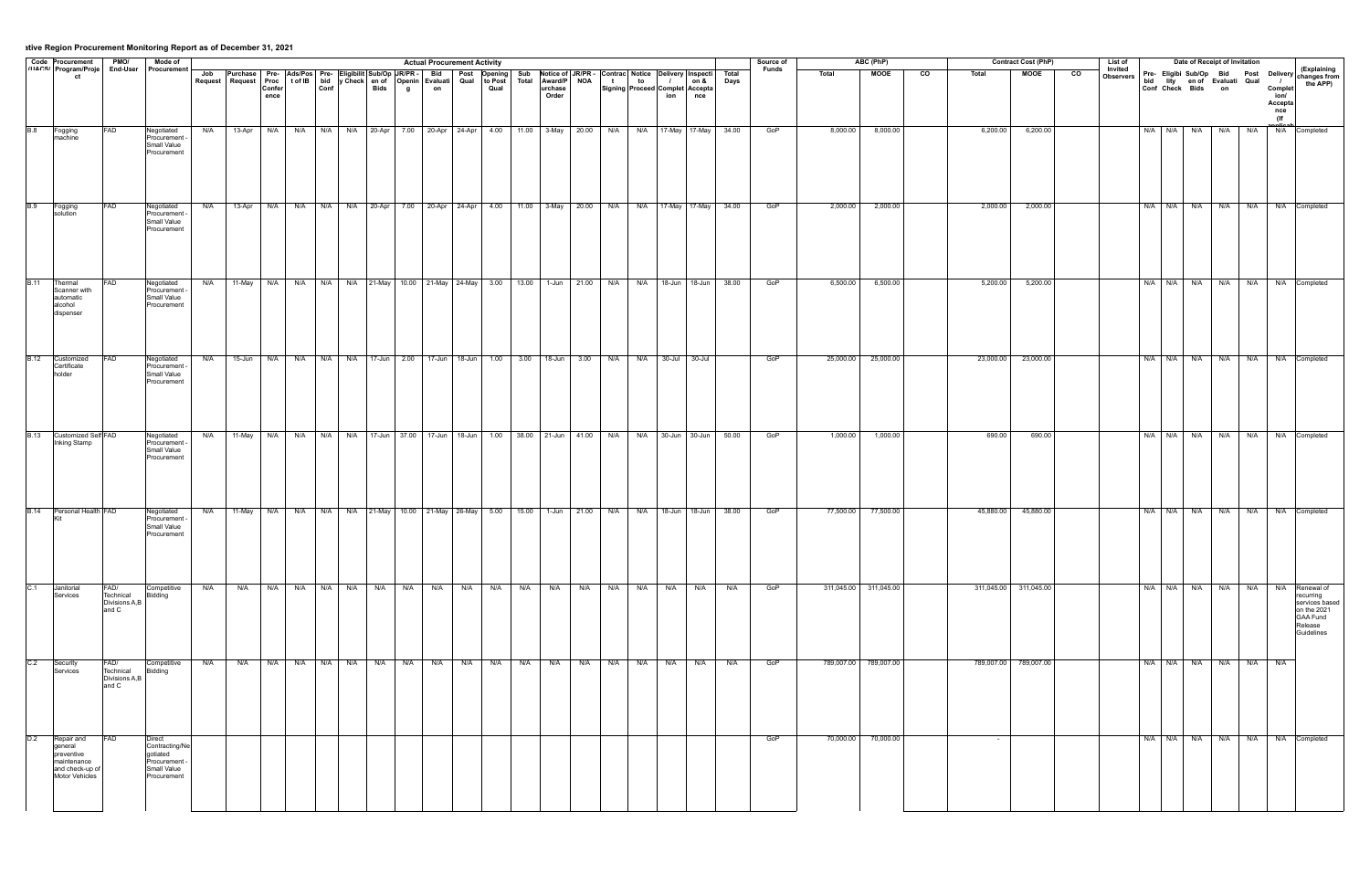|             |                                                                                           | PMO/                                         | Mode of                                                                            |     |                                                                                                      |      |         |             |     |          |     | <b>Actual Procurement Activity</b>                                                            |     |     |                  |     |     |     |     |                                                                                                                                                             |                                                                                                           | Source of    |           | ABC (PhP)             |                |           | <b>Contract Cost (PhP)</b> |                | List of              |             |             | Date of Receipt of Invitation                      |                         |                                                            |                                                                                               |
|-------------|-------------------------------------------------------------------------------------------|----------------------------------------------|------------------------------------------------------------------------------------|-----|------------------------------------------------------------------------------------------------------|------|---------|-------------|-----|----------|-----|-----------------------------------------------------------------------------------------------|-----|-----|------------------|-----|-----|-----|-----|-------------------------------------------------------------------------------------------------------------------------------------------------------------|-----------------------------------------------------------------------------------------------------------|--------------|-----------|-----------------------|----------------|-----------|----------------------------|----------------|----------------------|-------------|-------------|----------------------------------------------------|-------------------------|------------------------------------------------------------|-----------------------------------------------------------------------------------------------|
|             | Code Procurement<br>ct                                                                    | End-User                                     | Procurement                                                                        |     | Job Purchase Pre- Ads/Pos Pre- Eligibilit Sub/Op JR/PR - Bid<br>Request   Request                    | ence |         |             |     | <b>g</b> |     | Proc tof IB bid y Check en of Openin Evaluati Qual to Post<br>Confer Conf Bids g on Qual Qual |     |     | urchase<br>Order |     |     |     | ion | Post Opening Sub Notice of JR/PR Contrac Notice Delivery Inspecti<br>Qual to Post Total Award/P NOA t t to / on &<br>Signing Proceed Complet Accepta<br>nce | Total<br>Days                                                                                             | <b>Funds</b> | Total     | <b>MOOE</b>           | $\overline{c}$ | Total     | <b>MOOE</b>                | $\overline{c}$ | Invited<br>Observers |             |             | bid lity en of Evaluati Qual<br>Conf Check Bids on |                         | $\overline{1}$<br>Complet<br>ion/<br>Accepta<br>nce<br>(If | <b>Pre- Eligibi Sub/Op Bid Post Delivery (Explaining</b><br>the APP)                          |
| <b>B.8</b>  | Fogging<br>machine                                                                        | FAD                                          | Negotiated<br>Procurement -<br>Small Value<br>Procurement                          | N/A | 13-Apr                                                                                               |      |         |             |     |          |     |                                                                                               |     |     |                  |     |     |     |     |                                                                                                                                                             | N/A N/A N/A N/A N/A 20-Apr 7.00 20-Apr 24-Apr 4.00 11.00 3-May 20.00 N/A N/A 17-May 17-May 34.00          | GoP          | 8,000.00  | 8,000.00              |                | 6,200.00  | 6,200.00                   |                |                      | N/A N/A N/A |             | N/A                                                | <b>N/A</b>              |                                                            | N/A Completed                                                                                 |
| <b>B.9</b>  | Fogging<br>solution                                                                       | FAD                                          | Negotiated<br>-rocurement -<br>Small Value<br>Procurement                          | N/A |                                                                                                      |      |         |             |     |          |     |                                                                                               |     |     |                  |     |     |     |     |                                                                                                                                                             | 13-Apr N/A N/A N/A N/A A/A 20-Apr 7.00 20-Apr 24-Apr 4.00 11.00 3-May 20.00 N/A N/A 17-May 17-May 34.00   | GoP          | 2,000.00  | 2,000.00              |                | 2,000.00  | 2,000.00                   |                |                      |             |             |                                                    |                         |                                                            | N/A N/A N/A N/A N/A N/A N/A Completed                                                         |
| <b>B.11</b> | Thermal<br>Scanner with<br>lautomatic<br>alcohol<br>dispenser                             | <b>FAD</b>                                   | Negotiated<br>Procurement -<br>Small Value<br>Procurement                          | N/A |                                                                                                      |      |         |             |     |          |     |                                                                                               |     |     |                  |     |     |     |     |                                                                                                                                                             | 11-May N/A N/A N/A N/A 21-May 10.00 21-May 24-May 3.00 13.00 1-Jun 21.00 N/A N/A 18-Jun 18-Jun 38.00      | GOP          | 6,500.00  | 6,500.00              |                | 5,200.00  | 5,200.00                   |                |                      |             | N/A N/A N/A |                                                    |                         |                                                            | N/A   N/A   N/A   Completed                                                                   |
|             | B.12 Customized<br>Certificate<br>holder                                                  | <b>FAD</b>                                   | Negotiated<br>Procurement -<br>Small Value<br>Procurement                          |     | N/A 15-Jun N/A N/A N/A N/A N/A 17-Jun 2.00 17-Jun 18-Jun 1.00 3.00 18-Jun 3.00 N/A N/A 30-Jul 30-Jul |      |         |             |     |          |     |                                                                                               |     |     |                  |     |     |     |     |                                                                                                                                                             |                                                                                                           | GoP          |           | 25,000.00 25,000.00   |                | 23,000.00 | 23,000.00                  |                |                      |             |             |                                                    |                         |                                                            | N/A N/A N/A N/A N/A N/A Completed                                                             |
| <b>B.13</b> | Customized Self FAD<br>Inking Stamp                                                       |                                              | Negotiated<br>Procurement -<br>Small Value<br>Procurement                          | N/A |                                                                                                      |      |         |             |     |          |     |                                                                                               |     |     |                  |     |     |     |     |                                                                                                                                                             | 11-May N/A N/A N/A N/A N/A 17-Jun 37.00 17-Jun 18-Jun 1.00 38.00 21-Jun 41.00 N/A N/A 30-Jun 30-Jun 50.00 | GoP          | 1,000.00  | 1,000.00              |                | 690.00    | 690.00                     |                |                      |             |             |                                                    |                         |                                                            | N/A N/A N/A N/A N/A N/A N/A Completed                                                         |
|             | B.14 Personal Health FAD                                                                  |                                              | Negotiated<br>Procurement -<br>Small Value<br>Procurement                          |     |                                                                                                      |      |         |             |     |          |     |                                                                                               |     |     |                  |     |     |     |     |                                                                                                                                                             | N/A 11-May N/A N/A N/A N/A 21-May 10.00 21-May 26-May 5.00 15.00 1-Jun 21.00 N/A N/A 18-Jun 18-Jun 38.00  | GoP          |           | 77,500.00 77,500.00   |                | 45,880.00 | 45,880.00                  |                |                      |             |             |                                                    |                         |                                                            | N/A N/A N/A N/A N/A N/A Completed                                                             |
| C.1         | Janitorial<br>Services                                                                    | FAD/<br>Technical<br>Divisions A,B<br>and C  | Competitive<br>Bidding                                                             | N/A | N/A                                                                                                  |      | N/A N/A | $N/A$ $N/A$ | N/A | N/A      | N/A | N/A                                                                                           | N/A | N/A | N/A              | N/A | N/A | N/A | N/A | N/A                                                                                                                                                         | N/A                                                                                                       | GoP          |           | 311,045.00 311,045.00 |                |           | 311,045.00 311,045.00      |                |                      | N/A N/A N/A |             | N/A N/A                                            |                         | N/A                                                        | Renewal of<br>recurring<br>services based<br>on the 2021<br>GAA Fund<br>Release<br>Guidelines |
| C.2         | Security<br>Services                                                                      | FAD/<br>Technical<br>Divisions A,B<br>land C | Competitive<br>Bidding                                                             | N/A |                                                                                                      |      |         |             |     |          |     |                                                                                               |     |     |                  |     |     |     |     |                                                                                                                                                             | N/A                                                                                                       | GoP          |           | 789,007.00 789,007.00 |                |           | 789,007.00 789,007.00      |                |                      |             |             |                                                    | N/A N/A N/A N/A N/A N/A |                                                            |                                                                                               |
| D.2         | Repair and<br>general<br>Ipreventive<br>maintenance<br>land check-up of<br>Motor Vehicles | <b>FAD</b>                                   | Direct<br>Contracting/Ne<br>laotiated<br>Procurement<br>Small Value<br>Procurement |     |                                                                                                      |      |         |             |     |          |     |                                                                                               |     |     |                  |     |     |     |     |                                                                                                                                                             |                                                                                                           | GoP          | 70,000.00 | 70,000.00             |                |           |                            |                |                      |             |             |                                                    |                         |                                                            | N/A N/A N/A N/A N/A N/A Completed                                                             |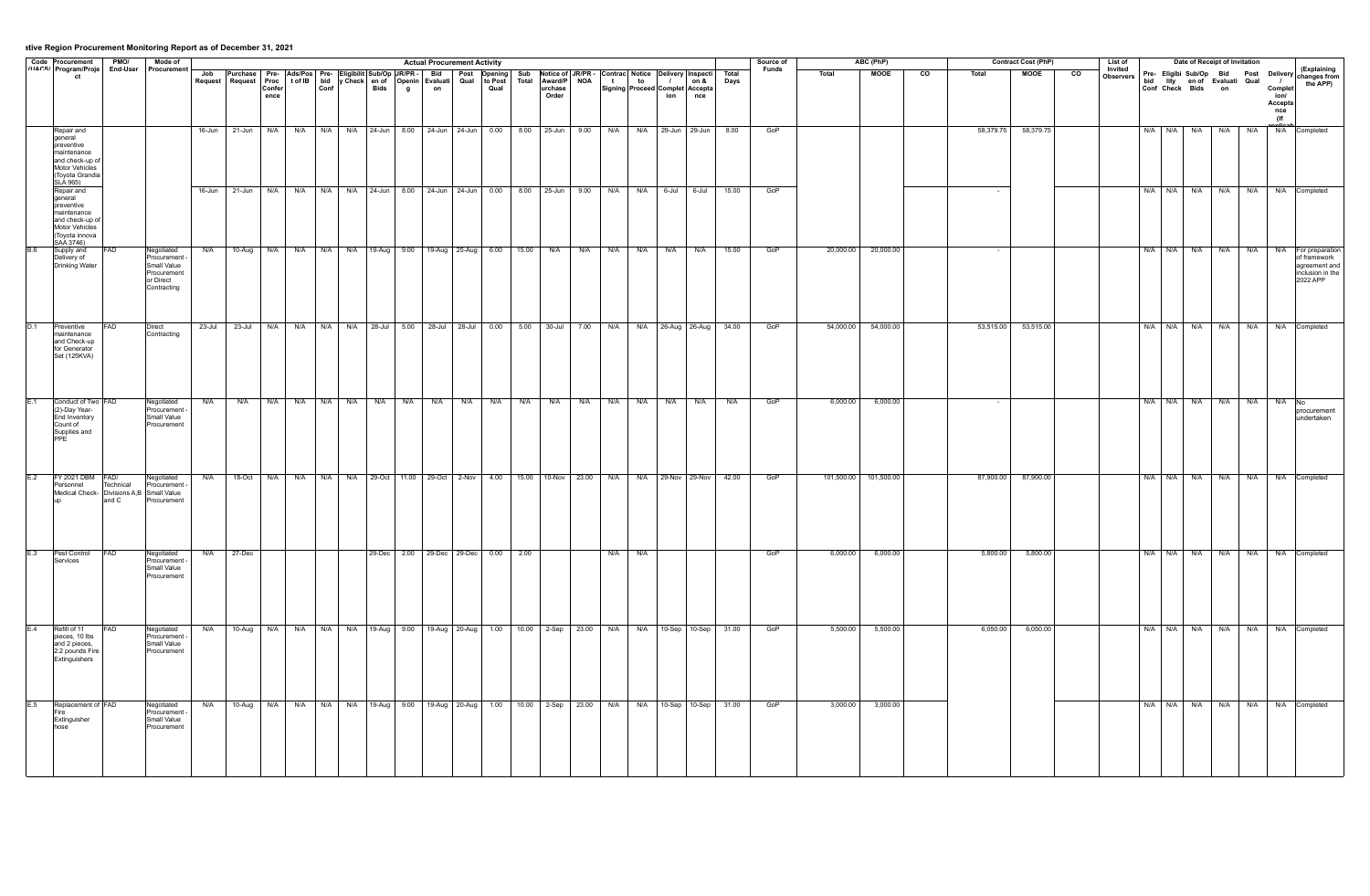|     | Code Procurement   PMO/   Mode of<br>"IACS' Program/Proje End-User Procurement                                             |                     |                                                                                     |        |                                                                                                                                                                                                                                   |                       |     |                                                                                                      |              |              | <b>Actual Procurement Activity</b>       |         |                  |             |             |                                        |       |       | Source of<br><b>Funds</b> |           | ABC (PhP)             |                |          | <b>Contract Cost (PhP)</b> |                 | List of<br>Invited |                   |     | Date of Receipt of Invitation                                                                            |     |                                                 |                                                                                  |
|-----|----------------------------------------------------------------------------------------------------------------------------|---------------------|-------------------------------------------------------------------------------------|--------|-----------------------------------------------------------------------------------------------------------------------------------------------------------------------------------------------------------------------------------|-----------------------|-----|------------------------------------------------------------------------------------------------------|--------------|--------------|------------------------------------------|---------|------------------|-------------|-------------|----------------------------------------|-------|-------|---------------------------|-----------|-----------------------|----------------|----------|----------------------------|-----------------|--------------------|-------------------|-----|----------------------------------------------------------------------------------------------------------|-----|-------------------------------------------------|----------------------------------------------------------------------------------|
|     | ct                                                                                                                         |                     |                                                                                     |        | Job Purchase Pre- Ads/Pos Pre- Eligibilit Sub/Op JR/PR   Bid   Post Opening Sub Notice of JR/PR Contrac Notice Delivery Inspecti Total<br>Request Request Proc tof IB bid y Check en of Openin Evaluati Qual to Post Total Award/ | <b>Confer</b><br>ence |     | $  \text{Conf}  $                                                                                    | <b>Bids</b>  | $\mathbf{g}$ | on                                       | Qual    | urchase<br>Order |             |             | Signing Proceed Complet Accepta<br>ion | nce   |       |                           | Total     | <b>MOOE</b>           | $\overline{c}$ | Total    | <b>MOOE</b>                | $\overline{co}$ | Observers          |                   |     | Pre- Eligibi Sub/Op Bid Post Delivery Changes from<br>bid lity en of Evaluati Qual<br>Conf Check Bids on |     | $\sqrt{1}$<br>Complet<br>ion/<br>Accepta<br>nce | the APP)                                                                         |
|     | Repair and<br>general<br>preventive<br>maintenance<br>and check-up o<br>Motor Vehicles<br>(Toyota Grandia                  |                     |                                                                                     |        | 16-Jun 21-Jun N/A N/A N/A N/A 24-Jun 8.00 24-Jun 24-Jun 0.00 8.00 25-Jun 9.00 N/A N/A 29-Jun 29-Jun 8.00                                                                                                                          |                       |     |                                                                                                      |              |              |                                          |         |                  |             |             |                                        |       |       | GoP                       |           |                       |                |          | 58,379.75 58,379.75        |                 |                    | $N/A$ $N/A$ $N/A$ |     | N/A                                                                                                      | N/A | (If<br>N/A Completed                            |                                                                                  |
|     | SLÁ 965)<br>Repair and<br>lgeneral<br>preventive<br>Imaintenance<br>land check-up of<br>Motor Vehicles<br>l (Tovota innova |                     |                                                                                     | 16-Jun | 21-Jun                                                                                                                                                                                                                            | N/A                   | N/A | N/A                                                                                                  | $N/A$ 24-Jun |              | 8.00 24-Jun 24-Jun 0.00 8.00 25-Jun 9.00 |         |                  |             | N/A         | N/A<br>6-Jul                           | 6-Jul | 15.00 | GoP                       |           |                       |                |          |                            |                 |                    | N/A<br>N/A        | N/A | N/A                                                                                                      | N/A |                                                 | Completed                                                                        |
|     | SAA 3746)<br>Supply and<br>Delivery of<br>Drinking Water                                                                   |                     | Negotiated<br>Procurement<br>Small Value<br>Procurement<br>or Direct<br>Contracting | N/A    |                                                                                                                                                                                                                                   |                       |     | 10-Aug N/A N/A N/A N/A 19-Aug 9.00 19-Aug 25-Aug 6.00 15.00 N/A                                      |              |              |                                          |         |                  | N/A N/A     |             | N/A<br>N/A                             | N/A   | 15.00 | GoP                       | 20,000.00 | 20,000.00             |                |          |                            |                 |                    | N/A N/A N/A N/A   |     |                                                                                                          | N/A | N/A                                             | For preparation<br>of framework<br>agreement and<br>inclusion in the<br>2022 APP |
|     | Preventive<br>maintenance<br>land Check-un<br>for Generator<br>Set (125KVA)                                                |                     | Direct<br>Contracting                                                               | 23-Jul | $\sqrt{23}$ -Jul                                                                                                                                                                                                                  |                       |     | N/A   N/A   N/A   N/A   28-Jul   5.00   28-Jul   28-Jul   0.00   5.00   30-Jul   7.00   N/A          |              |              |                                          |         |                  |             |             | N/A 26-Aug 26-Aug 34.00                |       |       | GoP                       |           | 54,000.00 54,000.00   |                |          | 53,515.00 53,515.00        |                 |                    | N/A N/A N/A       |     | N/A                                                                                                      | N/A | N/A Completed                                   |                                                                                  |
|     | Conduct of Two FAD<br>(2)-Day Year-<br>End Inventory<br>Count of<br>Supplies and<br>PPF                                    |                     | Negotiated<br>Procurement -<br>Small Value<br>Procurement                           | N/A    | N/A                                                                                                                                                                                                                               |                       |     | N/A N/A N/A N/A N/A                                                                                  |              |              | N/A N/A N/A                              | N/A N/A | N/A              | $N/A$ $N/A$ |             | N/A N/A                                | N/A   | N/A   | GoP                       | 6,000.00  | 6,000.00              |                |          |                            |                 |                    | N/A N/A N/A       |     | N/A                                                                                                      | N/A | $N/A$ No                                        | procurement<br>undertaken                                                        |
| E.2 | FY 2021 DBM FAD/<br>Personnel<br>Medical Check- Divisions A,B Small Value                                                  | Technical<br>land C | Negotiated<br>Procurement<br>Procuremen                                             | N/A    |                                                                                                                                                                                                                                   |                       |     | 18-Oct N/A N/A N/A N/A 29-Oct 11.00 29-Oct 2-Nov 4.00 15.00 10-Nov 23.00 N/A N/A 29-Nov 29-Nov 42.00 |              |              |                                          |         |                  |             |             |                                        |       |       | GoP                       |           | 101,500.00 101,500.00 |                |          | 87,900.00 87,900.00        |                 |                    |                   |     | N/A   N/A   N/A   N/A   N/A   N/A   Completed                                                            |     |                                                 |                                                                                  |
|     | E.3 Pest Control<br>Services                                                                                               | FAD                 | Negotiated<br>Procurement<br>Small Value<br>Procurement                             |        | $N/A$ 27-Dec                                                                                                                                                                                                                      |                       |     |                                                                                                      |              |              | 29-Dec 2.00 29-Dec 29-Dec 0.00 2.00      |         |                  |             | $N/A$ $N/A$ |                                        |       |       | GoP                       | 6,000.00  | 6,000.00              |                |          | $5,800.00$ $5,800.00$      |                 |                    |                   |     | N/A N/A N/A N/A N/A N/A N/A Completed                                                                    |     |                                                 |                                                                                  |
|     | Refill of 11<br>pieces, 10 lbs<br>and 2 pieces,<br>2.2 pounds Fire<br>Extinguishers                                        |                     | Negotiated<br>Procurement<br>Small Value<br>Procurement                             | N/A    |                                                                                                                                                                                                                                   |                       |     | 10-Aug N/A N/A N/A N/A 19-Aug 9.00 19-Aug 20-Aug 1.00 10.00 2-Sep 23.00 N/A N/A 10-Sep 10-Sep 31.00  |              |              |                                          |         |                  |             |             |                                        |       |       | GoP                       | 5,500.00  | 5,500.00              |                | 6,050.00 | 6,050.00                   |                 |                    | N/A N/A N/A N/A   |     |                                                                                                          | N/A | N/A Completed                                   |                                                                                  |
|     | Replacement of<br>Extinguisher<br>hose                                                                                     | FAD                 | Negotiated<br>Procurement -<br>Small Value<br>Procurement                           |        | N/A 10-Aug N/A N/A N/A N/A N/A 19-Aug 9.00 19-Aug 20-Aug 1.00 10.00 2-Sep 23.00 N/A N/A 10-Sep 10-Sep 31.00                                                                                                                       |                       |     |                                                                                                      |              |              |                                          |         |                  |             |             |                                        |       |       | GoP                       | 3,000.00  | 3,000.00              |                |          |                            |                 |                    | N/A N/A N/A N/A   |     |                                                                                                          |     | N/A   N/A   Completed                           |                                                                                  |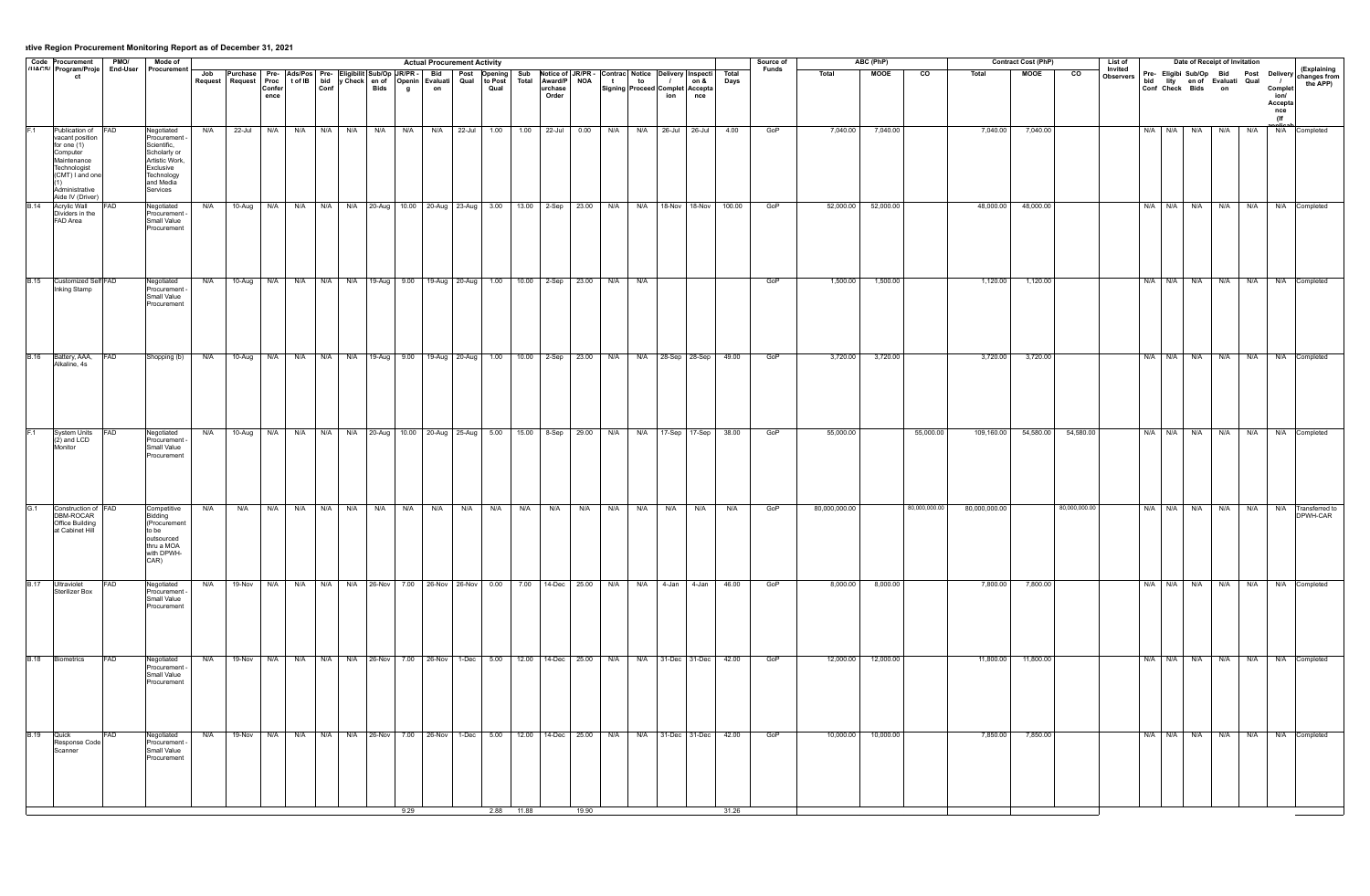|             |                                                                                                                                                      |            | Mode of                                                                                                                        |     |                                                                                                                                                                                                                                |            |         |  |                                   | <b>Actual Procurement Activity</b>      |            |                                                                                         |       |                       |     |     |                         |     |                                | Source of    |               | ABC (PhP)   |                 |               | <b>Contract Cost (PhP)</b> |                | List of              |                                                    |             | Date of Receipt of Invitation |              |                                                            |                                                                                                  |
|-------------|------------------------------------------------------------------------------------------------------------------------------------------------------|------------|--------------------------------------------------------------------------------------------------------------------------------|-----|--------------------------------------------------------------------------------------------------------------------------------------------------------------------------------------------------------------------------------|------------|---------|--|-----------------------------------|-----------------------------------------|------------|-----------------------------------------------------------------------------------------|-------|-----------------------|-----|-----|-------------------------|-----|--------------------------------|--------------|---------------|-------------|-----------------|---------------|----------------------------|----------------|----------------------|----------------------------------------------------|-------------|-------------------------------|--------------|------------------------------------------------------------|--------------------------------------------------------------------------------------------------|
|             | Code Procurement PMO/<br>(11ACS/ Program/Proje End-User<br>ct                                                                                        |            | Procurement                                                                                                                    |     | Job Purchase Pre- Ads/Pos Pre- Eligibilit Sub/Op JR/PR - Bid Post Opening Sub Notice of JR/PR - Contrac Notice Delivery Inspecting Sub Request Request Request Request Request Request Request Request Request Request Request | ence       |         |  | <b>g</b>                          |                                         |            |                                                                                         | Order |                       |     |     | ion                     | nce | Total<br>Days                  | <b>Funds</b> | Total         | <b>MOOE</b> | $\overline{co}$ | Total         | <b>MOOE</b>                | $\overline{c}$ | Invited<br>Observers | bid lity en of Evaluati Qual<br>Conf Check Bids on |             |                               |              | $\overline{1}$<br>Complet<br>ion/<br>Accepta<br>nce<br>(lf | (Explaining<br>Pre- Eligibi Sub/Op Bid Post Delivery Explaining<br>Curl Changes from<br>the APP) |
|             | Publication of<br>vacant position<br>for one (1)<br>Computer<br>Maintenance<br>Technologist<br>(CMT) I and one<br>Administrative<br>Aide IV (Driver) | <b>FAD</b> | Negotiated<br>Procurement<br>Scientific,<br>Scholarly or<br>Artistic Work,<br>Exclusive<br>Technology<br>and Media<br>Services | N/A | $22 -$ Jul                                                                                                                                                                                                                     | N/A        |         |  |                                   | N/A N/A N/A N/A N/A N/A N/A 22-Jul 1.00 |            |                                                                                         |       | $1.00$ 22-Jul 0.00    | N/A |     | N/A 26-Jul 26-Jul       |     | 4.00                           | GoP          | 7,040.00      | 7,040.00    |                 | 7,040.00      | 7,040.00                   |                |                      | $N/A$ $N/A$                                        | N/A         | N/A                           |              | <b>N/A</b>                                                 | N/A Completed                                                                                    |
| <b>B.14</b> | <b>Acrylic Wall</b><br>Dividers in the<br>FAD Area                                                                                                   | <b>AD</b>  | Negotiated<br>Procurement<br>Small Value<br>Procurement                                                                        | N/A | 10-Aug N/A                                                                                                                                                                                                                     |            |         |  |                                   |                                         |            | N/A   N/A   N/A   20-Aug   10.00   20-Aug   23-Aug   3.00   13.00   2-Sep   23.00   N/A |       |                       |     |     |                         |     | N/A   18-Nov   18-Nov   100.00 | GoP          | 52,000.00     | 52,000.00   |                 | 48,000.00     | 48,000.00                  |                |                      | N/A N/A N/A                                        |             |                               | N/A N/A      |                                                            | N/A Completed                                                                                    |
| <b>B.15</b> | Customized Self FAD<br>Inking Stamp                                                                                                                  |            | Negotiated<br>Procurement<br>Small Value<br>Procurement                                                                        | N/A |                                                                                                                                                                                                                                |            |         |  |                                   |                                         |            | 10-Aug N/A N/A N/A N/A N/A 19-Aug 9.00 19-Aug 20-Aug 1.00 10.00 2-Sep 23.00 N/A         |       |                       |     | N/A |                         |     |                                | GoP          | 1,500.00      | 1,500.00    |                 | 1,120.00      | 1,120.00                   |                |                      |                                                    |             |                               |              | N/A N/A N/A N/A N/A N/A Completed                          |                                                                                                  |
| <b>B.16</b> | Battery, AAA,<br>Alkaline, 4s                                                                                                                        | AD         | Shopping (b)                                                                                                                   | N/A |                                                                                                                                                                                                                                | 10-Aug N/A | N/A N/A |  |                                   | N/A 19-Aug 9.00 19-Aug 20-Aug 1.00      |            |                                                                                         |       | 10.00 2-Sep 23.00 N/A |     |     | N/A 28-Sep 28-Sep 49.00 |     |                                | GoP          | 3,720.00      | 3,720.00    |                 | 3,720.00      | 3,720.00                   |                |                      |                                                    | N/A N/A N/A |                               | N/A<br>N/A   |                                                            | N/A Completed                                                                                    |
|             | System Units<br>$(2)$ and LCD<br>Monitor                                                                                                             |            | Negotiated<br>Procurement<br>Small Value<br>Procurement                                                                        |     | N/A 10-Aug N/A N/A N/A N/A 20-Aug 10.00 20-Aug 25-Aug 5.00 15.00 8-Sep 29.00 N/A N/A 17-Sep 17-Sep 38.00                                                                                                                       |            |         |  |                                   |                                         |            |                                                                                         |       |                       |     |     |                         |     |                                | GoP          | 55,000.00     |             | 55,000.00       | 109,160.00    | 54,580.00                  | 54,580.00      |                      |                                                    |             |                               |              | N/A   N/A   N/A   N/A   N/A   N/A   Completed              |                                                                                                  |
| G.1         | Construction of FAD<br>DBM-ROCAR<br>Office Building<br>at Cabinet Hill                                                                               |            | Competitive<br>Bidding<br>(Procurement<br>lto be<br>loutsourced<br>thru a MOA<br>with DPWH-<br>CAR)                            | N/A | N/A                                                                                                                                                                                                                            | N/A        |         |  | N/A   N/A   N/A   N/A   N/A   N/A |                                         | N/A N/A    | N/A                                                                                     | N/A   | N/A                   | N/A | N/A | N/A                     | N/A | N/A                            | GoP          | 80,000,000.00 |             | 80,000,000.00   | 80,000,000.00 |                            | 80,000,000.00  |                      | N/A N/A N/A                                        |             |                               | N/A  <br>N/A |                                                            | N/A Transferred to<br>DPWH-CAR                                                                   |
| <b>B.17</b> | Ultraviolet<br>Sterilizer Box                                                                                                                        | -AD        | Negotiated<br>Procurement<br>Small Value<br>Procurement                                                                        |     | N/A 19-Nov N/A N/A N/A N/A 26-Nov 7.00 26-Nov 26-Nov 0.00 7.00 14-Dec 25.00 N/A N/A 4-Jan 4-Jan 46.00                                                                                                                          |            |         |  |                                   |                                         |            |                                                                                         |       |                       |     |     |                         |     |                                | GoP          | 8,000.00      | 8,000.00    |                 | 7,800.00      | 7,800.00                   |                |                      |                                                    |             |                               |              | N/A N/A N/A N/A N/A N/A Completed                          |                                                                                                  |
|             | <b>B.18</b> Biometrics                                                                                                                               | <b>FAD</b> | Negotiated<br>Procurement<br>Small Value<br>Procurement                                                                        | N/A | 19-Nov N/A N/A N/A N/A 26-Nov 7.00 26-Nov 1-Dec 5.00 12.00 14-Dec 25.00 N/A                                                                                                                                                    |            |         |  |                                   |                                         |            |                                                                                         |       |                       |     |     | N/A 31-Dec 31-Dec       |     | 42.00                          | GoP          | 12,000.00     | 12,000.00   |                 | 11,800.00     | 11,800.00                  |                |                      |                                                    |             |                               |              | N/A N/A N/A N/A N/A N/A N/A Completed                      |                                                                                                  |
| <b>B.19</b> | Quick<br>Response Code<br>Scanner                                                                                                                    | FAD        | Negotiated<br>Procurement<br>Small Value<br>Procurement                                                                        | N/A | 19-Nov N/A                                                                                                                                                                                                                     |            |         |  |                                   |                                         |            | N/A N/A N/A 26-Nov 7.00 26-Nov 1-Dec 5.00 12.00 14-Dec 25.00 N/A                        |       |                       |     |     | N/A 31-Dec 31-Dec 42.00 |     |                                | GoP          | 10,000.00     | 10,000.00   |                 | 7,850.00      | 7,850.00                   |                |                      | N/A N/A N/A                                        |             |                               |              | N/A   N/A   N/A   Completed                                |                                                                                                  |
|             |                                                                                                                                                      |            |                                                                                                                                |     |                                                                                                                                                                                                                                |            |         |  | 9.29                              |                                         | 2.88 11.88 |                                                                                         |       | 19.90                 |     |     |                         |     | 31.26                          |              |               |             |                 |               |                            |                |                      |                                                    |             |                               |              |                                                            |                                                                                                  |